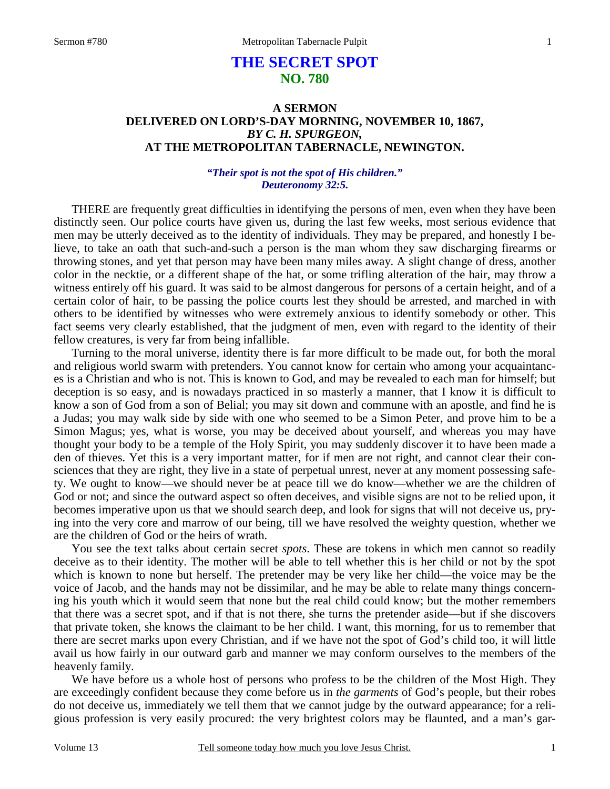# **THE SECRET SPOT NO. 780**

## **A SERMON DELIVERED ON LORD'S-DAY MORNING, NOVEMBER 10, 1867,** *BY C. H. SPURGEON,*  **AT THE METROPOLITAN TABERNACLE, NEWINGTON.**

### *"Their spot is not the spot of His children." Deuteronomy 32:5.*

THERE are frequently great difficulties in identifying the persons of men, even when they have been distinctly seen. Our police courts have given us, during the last few weeks, most serious evidence that men may be utterly deceived as to the identity of individuals. They may be prepared, and honestly I believe, to take an oath that such-and-such a person is the man whom they saw discharging firearms or throwing stones, and yet that person may have been many miles away. A slight change of dress, another color in the necktie, or a different shape of the hat, or some trifling alteration of the hair, may throw a witness entirely off his guard. It was said to be almost dangerous for persons of a certain height, and of a certain color of hair, to be passing the police courts lest they should be arrested, and marched in with others to be identified by witnesses who were extremely anxious to identify somebody or other. This fact seems very clearly established, that the judgment of men, even with regard to the identity of their fellow creatures, is very far from being infallible.

 Turning to the moral universe, identity there is far more difficult to be made out, for both the moral and religious world swarm with pretenders. You cannot know for certain who among your acquaintances is a Christian and who is not. This is known to God, and may be revealed to each man for himself; but deception is so easy, and is nowadays practiced in so masterly a manner, that I know it is difficult to know a son of God from a son of Belial; you may sit down and commune with an apostle, and find he is a Judas; you may walk side by side with one who seemed to be a Simon Peter, and prove him to be a Simon Magus; yes, what is worse, you may be deceived about yourself, and whereas you may have thought your body to be a temple of the Holy Spirit, you may suddenly discover it to have been made a den of thieves. Yet this is a very important matter, for if men are not right, and cannot clear their consciences that they are right, they live in a state of perpetual unrest, never at any moment possessing safety. We ought to know—we should never be at peace till we do know—whether we are the children of God or not; and since the outward aspect so often deceives, and visible signs are not to be relied upon, it becomes imperative upon us that we should search deep, and look for signs that will not deceive us, prying into the very core and marrow of our being, till we have resolved the weighty question, whether we are the children of God or the heirs of wrath.

 You see the text talks about certain secret *spots*. These are tokens in which men cannot so readily deceive as to their identity. The mother will be able to tell whether this is her child or not by the spot which is known to none but herself. The pretender may be very like her child—the voice may be the voice of Jacob, and the hands may not be dissimilar, and he may be able to relate many things concerning his youth which it would seem that none but the real child could know; but the mother remembers that there was a secret spot, and if that is not there, she turns the pretender aside—but if she discovers that private token, she knows the claimant to be her child. I want, this morning, for us to remember that there are secret marks upon every Christian, and if we have not the spot of God's child too, it will little avail us how fairly in our outward garb and manner we may conform ourselves to the members of the heavenly family.

 We have before us a whole host of persons who profess to be the children of the Most High. They are exceedingly confident because they come before us in *the garments* of God's people, but their robes do not deceive us, immediately we tell them that we cannot judge by the outward appearance; for a religious profession is very easily procured: the very brightest colors may be flaunted, and a man's gar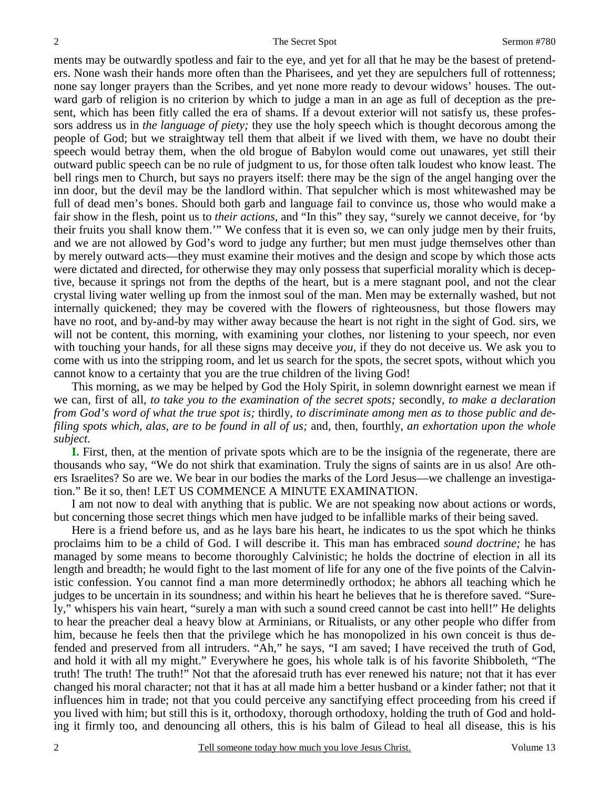ments may be outwardly spotless and fair to the eye, and yet for all that he may be the basest of pretenders. None wash their hands more often than the Pharisees, and yet they are sepulchers full of rottenness; none say longer prayers than the Scribes, and yet none more ready to devour widows' houses. The outward garb of religion is no criterion by which to judge a man in an age as full of deception as the present, which has been fitly called the era of shams. If a devout exterior will not satisfy us, these professors address us in *the language of piety;* they use the holy speech which is thought decorous among the people of God; but we straightway tell them that albeit if we lived with them, we have no doubt their speech would betray them, when the old brogue of Babylon would come out unawares, yet still their outward public speech can be no rule of judgment to us, for those often talk loudest who know least. The bell rings men to Church, but says no prayers itself: there may be the sign of the angel hanging over the inn door, but the devil may be the landlord within. That sepulcher which is most whitewashed may be full of dead men's bones. Should both garb and language fail to convince us, those who would make a fair show in the flesh, point us to *their actions,* and "In this" they say, "surely we cannot deceive, for 'by their fruits you shall know them.'" We confess that it is even so, we can only judge men by their fruits, and we are not allowed by God's word to judge any further; but men must judge themselves other than by merely outward acts—they must examine their motives and the design and scope by which those acts were dictated and directed, for otherwise they may only possess that superficial morality which is deceptive, because it springs not from the depths of the heart, but is a mere stagnant pool, and not the clear crystal living water welling up from the inmost soul of the man. Men may be externally washed, but not internally quickened; they may be covered with the flowers of righteousness, but those flowers may have no root, and by-and-by may wither away because the heart is not right in the sight of God. sirs, we will not be content, this morning, with examining your clothes, nor listening to your speech, nor even with touching your hands, for all these signs may deceive *you,* if they do not deceive us. We ask you to come with us into the stripping room, and let us search for the spots, the secret spots, without which you cannot know to a certainty that you are the true children of the living God!

 This morning, as we may be helped by God the Holy Spirit, in solemn downright earnest we mean if we can, first of all, *to take you to the examination of the secret spots;* secondly, *to make a declaration from God's word of what the true spot is;* thirdly, *to discriminate among men as to those public and defiling spots which, alas, are to be found in all of us;* and, then, fourthly, *an exhortation upon the whole subject.*

 **I.** First, then, at the mention of private spots which are to be the insignia of the regenerate, there are thousands who say, "We do not shirk that examination. Truly the signs of saints are in us also! Are others Israelites? So are we. We bear in our bodies the marks of the Lord Jesus—we challenge an investigation." Be it so, then! LET US COMMENCE A MINUTE EXAMINATION.

 I am not now to deal with anything that is public. We are not speaking now about actions or words, but concerning those secret things which men have judged to be infallible marks of their being saved.

 Here is a friend before us, and as he lays bare his heart, he indicates to us the spot which he thinks proclaims him to be a child of God. I will describe it. This man has embraced *sound doctrine;* he has managed by some means to become thoroughly Calvinistic; he holds the doctrine of election in all its length and breadth; he would fight to the last moment of life for any one of the five points of the Calvinistic confession. You cannot find a man more determinedly orthodox; he abhors all teaching which he judges to be uncertain in its soundness; and within his heart he believes that he is therefore saved. "Surely," whispers his vain heart, "surely a man with such a sound creed cannot be cast into hell!" He delights to hear the preacher deal a heavy blow at Arminians, or Ritualists, or any other people who differ from him, because he feels then that the privilege which he has monopolized in his own conceit is thus defended and preserved from all intruders. "Ah," he says, "I am saved; I have received the truth of God, and hold it with all my might." Everywhere he goes, his whole talk is of his favorite Shibboleth, "The truth! The truth! The truth!" Not that the aforesaid truth has ever renewed his nature; not that it has ever changed his moral character; not that it has at all made him a better husband or a kinder father; not that it influences him in trade; not that you could perceive any sanctifying effect proceeding from his creed if you lived with him; but still this is it, orthodoxy, thorough orthodoxy, holding the truth of God and holding it firmly too, and denouncing all others, this is his balm of Gilead to heal all disease, this is his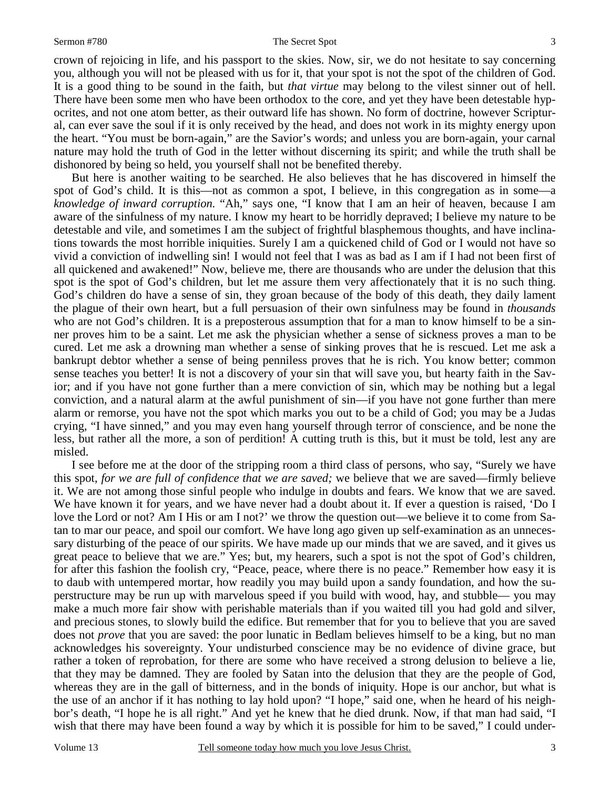#### Sermon #780 The Secret Spot

crown of rejoicing in life, and his passport to the skies. Now, sir, we do not hesitate to say concerning you, although you will not be pleased with us for it, that your spot is not the spot of the children of God. It is a good thing to be sound in the faith, but *that virtue* may belong to the vilest sinner out of hell. There have been some men who have been orthodox to the core, and yet they have been detestable hypocrites, and not one atom better, as their outward life has shown. No form of doctrine, however Scriptural, can ever save the soul if it is only received by the head, and does not work in its mighty energy upon the heart. "You must be born-again," are the Savior's words; and unless you are born-again, your carnal nature may hold the truth of God in the letter without discerning its spirit; and while the truth shall be dishonored by being so held, you yourself shall not be benefited thereby.

 But here is another waiting to be searched. He also believes that he has discovered in himself the spot of God's child. It is this—not as common a spot, I believe, in this congregation as in some—a *knowledge of inward corruption.* "Ah," says one, "I know that I am an heir of heaven, because I am aware of the sinfulness of my nature. I know my heart to be horridly depraved; I believe my nature to be detestable and vile, and sometimes I am the subject of frightful blasphemous thoughts, and have inclinations towards the most horrible iniquities. Surely I am a quickened child of God or I would not have so vivid a conviction of indwelling sin! I would not feel that I was as bad as I am if I had not been first of all quickened and awakened!" Now, believe me, there are thousands who are under the delusion that this spot is the spot of God's children, but let me assure them very affectionately that it is no such thing. God's children do have a sense of sin, they groan because of the body of this death, they daily lament the plague of their own heart, but a full persuasion of their own sinfulness may be found in *thousands* who are not God's children. It is a preposterous assumption that for a man to know himself to be a sinner proves him to be a saint. Let me ask the physician whether a sense of sickness proves a man to be cured. Let me ask a drowning man whether a sense of sinking proves that he is rescued. Let me ask a bankrupt debtor whether a sense of being penniless proves that he is rich. You know better; common sense teaches you better! It is not a discovery of your sin that will save you, but hearty faith in the Savior; and if you have not gone further than a mere conviction of sin, which may be nothing but a legal conviction, and a natural alarm at the awful punishment of sin—if you have not gone further than mere alarm or remorse, you have not the spot which marks you out to be a child of God; you may be a Judas crying, "I have sinned," and you may even hang yourself through terror of conscience, and be none the less, but rather all the more, a son of perdition! A cutting truth is this, but it must be told, lest any are misled.

 I see before me at the door of the stripping room a third class of persons, who say, "Surely we have this spot, *for we are full of confidence that we are saved;* we believe that we are saved—firmly believe it. We are not among those sinful people who indulge in doubts and fears. We know that we are saved. We have known it for years, and we have never had a doubt about it. If ever a question is raised, 'Do I love the Lord or not? Am I His or am I not?' we throw the question out—we believe it to come from Satan to mar our peace, and spoil our comfort. We have long ago given up self-examination as an unnecessary disturbing of the peace of our spirits. We have made up our minds that we are saved, and it gives us great peace to believe that we are." Yes; but, my hearers, such a spot is not the spot of God's children, for after this fashion the foolish cry, "Peace, peace, where there is no peace." Remember how easy it is to daub with untempered mortar, how readily you may build upon a sandy foundation, and how the superstructure may be run up with marvelous speed if you build with wood, hay, and stubble— you may make a much more fair show with perishable materials than if you waited till you had gold and silver, and precious stones, to slowly build the edifice. But remember that for you to believe that you are saved does not *prove* that you are saved: the poor lunatic in Bedlam believes himself to be a king, but no man acknowledges his sovereignty. Your undisturbed conscience may be no evidence of divine grace, but rather a token of reprobation, for there are some who have received a strong delusion to believe a lie, that they may be damned. They are fooled by Satan into the delusion that they are the people of God, whereas they are in the gall of bitterness, and in the bonds of iniquity. Hope is our anchor, but what is the use of an anchor if it has nothing to lay hold upon? "I hope," said one, when he heard of his neighbor's death, "I hope he is all right." And yet he knew that he died drunk. Now, if that man had said, "I wish that there may have been found a way by which it is possible for him to be saved," I could under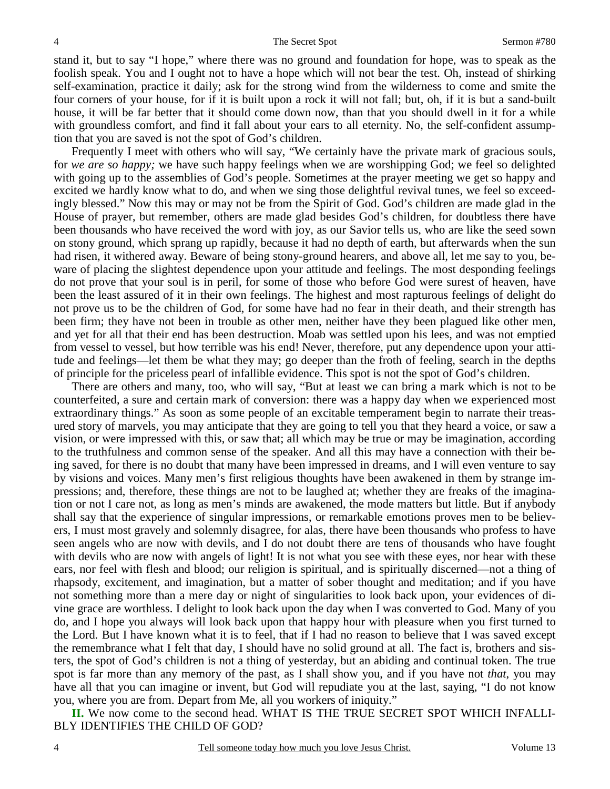stand it, but to say "I hope," where there was no ground and foundation for hope, was to speak as the foolish speak. You and I ought not to have a hope which will not bear the test. Oh, instead of shirking self-examination, practice it daily; ask for the strong wind from the wilderness to come and smite the four corners of your house, for if it is built upon a rock it will not fall; but, oh, if it is but a sand-built house, it will be far better that it should come down now, than that you should dwell in it for a while with groundless comfort, and find it fall about your ears to all eternity. No, the self-confident assumption that you are saved is not the spot of God's children.

 Frequently I meet with others who will say, "We certainly have the private mark of gracious souls, for *we are so happy;* we have such happy feelings when we are worshipping God; we feel so delighted with going up to the assemblies of God's people. Sometimes at the prayer meeting we get so happy and excited we hardly know what to do, and when we sing those delightful revival tunes, we feel so exceedingly blessed." Now this may or may not be from the Spirit of God. God's children are made glad in the House of prayer, but remember, others are made glad besides God's children, for doubtless there have been thousands who have received the word with joy, as our Savior tells us, who are like the seed sown on stony ground, which sprang up rapidly, because it had no depth of earth, but afterwards when the sun had risen, it withered away. Beware of being stony-ground hearers, and above all, let me say to you, beware of placing the slightest dependence upon your attitude and feelings. The most desponding feelings do not prove that your soul is in peril, for some of those who before God were surest of heaven, have been the least assured of it in their own feelings. The highest and most rapturous feelings of delight do not prove us to be the children of God, for some have had no fear in their death, and their strength has been firm; they have not been in trouble as other men, neither have they been plagued like other men, and yet for all that their end has been destruction. Moab was settled upon his lees, and was not emptied from vessel to vessel, but how terrible was his end! Never, therefore, put any dependence upon your attitude and feelings—let them be what they may; go deeper than the froth of feeling, search in the depths of principle for the priceless pearl of infallible evidence. This spot is not the spot of God's children.

 There are others and many, too, who will say, "But at least we can bring a mark which is not to be counterfeited, a sure and certain mark of conversion: there was a happy day when we experienced most extraordinary things." As soon as some people of an excitable temperament begin to narrate their treasured story of marvels, you may anticipate that they are going to tell you that they heard a voice, or saw a vision, or were impressed with this, or saw that; all which may be true or may be imagination, according to the truthfulness and common sense of the speaker. And all this may have a connection with their being saved, for there is no doubt that many have been impressed in dreams, and I will even venture to say by visions and voices. Many men's first religious thoughts have been awakened in them by strange impressions; and, therefore, these things are not to be laughed at; whether they are freaks of the imagination or not I care not, as long as men's minds are awakened, the mode matters but little. But if anybody shall say that the experience of singular impressions, or remarkable emotions proves men to be believers, I must most gravely and solemnly disagree, for alas, there have been thousands who profess to have seen angels who are now with devils, and I do not doubt there are tens of thousands who have fought with devils who are now with angels of light! It is not what you see with these eyes, nor hear with these ears, nor feel with flesh and blood; our religion is spiritual, and is spiritually discerned—not a thing of rhapsody, excitement, and imagination, but a matter of sober thought and meditation; and if you have not something more than a mere day or night of singularities to look back upon, your evidences of divine grace are worthless. I delight to look back upon the day when I was converted to God. Many of you do, and I hope you always will look back upon that happy hour with pleasure when you first turned to the Lord. But I have known what it is to feel, that if I had no reason to believe that I was saved except the remembrance what I felt that day, I should have no solid ground at all. The fact is, brothers and sisters, the spot of God's children is not a thing of yesterday, but an abiding and continual token. The true spot is far more than any memory of the past, as I shall show you, and if you have not *that*, you may have all that you can imagine or invent, but God will repudiate you at the last, saying, "I do not know you, where you are from. Depart from Me, all you workers of iniquity."

**II.** We now come to the second head. WHAT IS THE TRUE SECRET SPOT WHICH INFALLI-BLY IDENTIFIES THE CHILD OF GOD?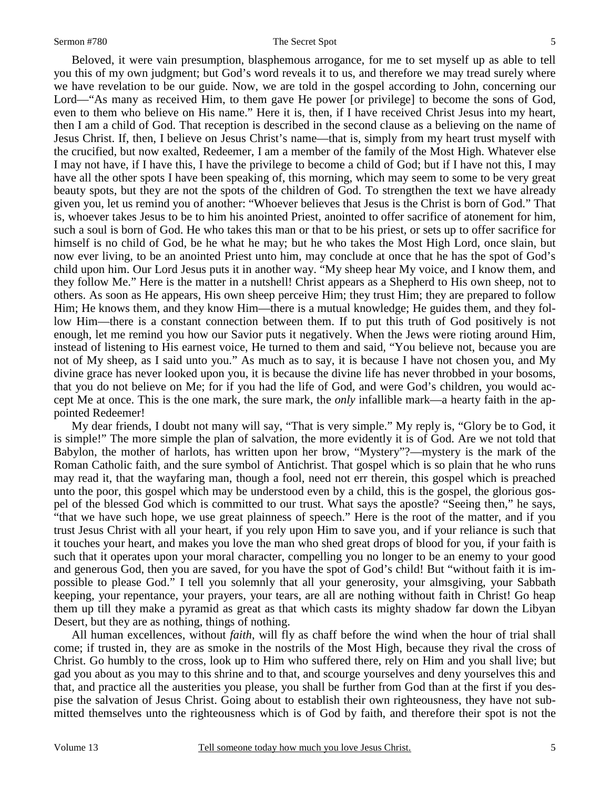#### Sermon #780 The Secret Spot

 Beloved, it were vain presumption, blasphemous arrogance, for me to set myself up as able to tell you this of my own judgment; but God's word reveals it to us, and therefore we may tread surely where we have revelation to be our guide. Now, we are told in the gospel according to John, concerning our Lord—"As many as received Him, to them gave He power [or privilege] to become the sons of God, even to them who believe on His name." Here it is, then, if I have received Christ Jesus into my heart, then I am a child of God. That reception is described in the second clause as a believing on the name of Jesus Christ. If, then, I believe on Jesus Christ's name—that is, simply from my heart trust myself with the crucified, but now exalted, Redeemer, I am a member of the family of the Most High. Whatever else I may not have, if I have this, I have the privilege to become a child of God; but if I have not this, I may have all the other spots I have been speaking of, this morning, which may seem to some to be very great beauty spots, but they are not the spots of the children of God. To strengthen the text we have already given you, let us remind you of another: "Whoever believes that Jesus is the Christ is born of God." That is, whoever takes Jesus to be to him his anointed Priest, anointed to offer sacrifice of atonement for him, such a soul is born of God. He who takes this man or that to be his priest, or sets up to offer sacrifice for himself is no child of God, be he what he may; but he who takes the Most High Lord, once slain, but now ever living, to be an anointed Priest unto him, may conclude at once that he has the spot of God's child upon him. Our Lord Jesus puts it in another way. "My sheep hear My voice, and I know them, and they follow Me." Here is the matter in a nutshell! Christ appears as a Shepherd to His own sheep, not to others. As soon as He appears, His own sheep perceive Him; they trust Him; they are prepared to follow Him; He knows them, and they know Him—there is a mutual knowledge; He guides them, and they follow Him—there is a constant connection between them. If to put this truth of God positively is not enough, let me remind you how our Savior puts it negatively. When the Jews were rioting around Him, instead of listening to His earnest voice, He turned to them and said, "You believe not, because you are not of My sheep, as I said unto you." As much as to say, it is because I have not chosen you, and My divine grace has never looked upon you, it is because the divine life has never throbbed in your bosoms, that you do not believe on Me; for if you had the life of God, and were God's children, you would accept Me at once. This is the one mark, the sure mark, the *only* infallible mark—a hearty faith in the appointed Redeemer!

 My dear friends, I doubt not many will say, "That is very simple." My reply is, "Glory be to God, it is simple!" The more simple the plan of salvation, the more evidently it is of God. Are we not told that Babylon, the mother of harlots, has written upon her brow, "Mystery"?—mystery is the mark of the Roman Catholic faith, and the sure symbol of Antichrist. That gospel which is so plain that he who runs may read it, that the wayfaring man, though a fool, need not err therein, this gospel which is preached unto the poor, this gospel which may be understood even by a child, this is the gospel, the glorious gospel of the blessed God which is committed to our trust. What says the apostle? "Seeing then," he says, "that we have such hope, we use great plainness of speech." Here is the root of the matter, and if you trust Jesus Christ with all your heart, if you rely upon Him to save you, and if your reliance is such that it touches your heart, and makes you love the man who shed great drops of blood for you, if your faith is such that it operates upon your moral character, compelling you no longer to be an enemy to your good and generous God, then you are saved, for you have the spot of God's child! But "without faith it is impossible to please God." I tell you solemnly that all your generosity, your almsgiving, your Sabbath keeping, your repentance, your prayers, your tears, are all are nothing without faith in Christ! Go heap them up till they make a pyramid as great as that which casts its mighty shadow far down the Libyan Desert, but they are as nothing, things of nothing.

 All human excellences, without *faith*, will fly as chaff before the wind when the hour of trial shall come; if trusted in, they are as smoke in the nostrils of the Most High, because they rival the cross of Christ. Go humbly to the cross, look up to Him who suffered there, rely on Him and you shall live; but gad you about as you may to this shrine and to that, and scourge yourselves and deny yourselves this and that, and practice all the austerities you please, you shall be further from God than at the first if you despise the salvation of Jesus Christ. Going about to establish their own righteousness, they have not submitted themselves unto the righteousness which is of God by faith, and therefore their spot is not the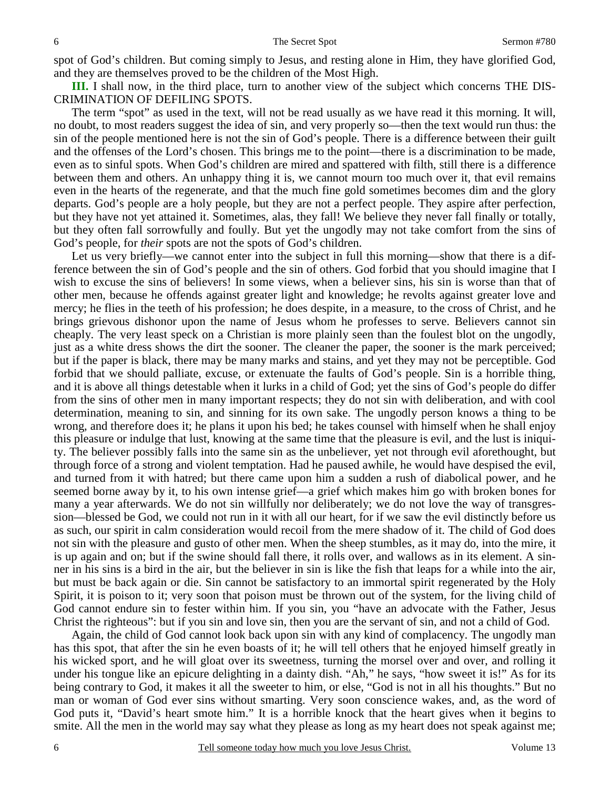spot of God's children. But coming simply to Jesus, and resting alone in Him, they have glorified God, and they are themselves proved to be the children of the Most High.

**III.** I shall now, in the third place, turn to another view of the subject which concerns THE DIS-CRIMINATION OF DEFILING SPOTS.

 The term "spot" as used in the text, will not be read usually as we have read it this morning. It will, no doubt, to most readers suggest the idea of sin, and very properly so—then the text would run thus: the sin of the people mentioned here is not the sin of God's people. There is a difference between their guilt and the offenses of the Lord's chosen. This brings me to the point—there is a discrimination to be made, even as to sinful spots. When God's children are mired and spattered with filth, still there is a difference between them and others. An unhappy thing it is, we cannot mourn too much over it, that evil remains even in the hearts of the regenerate, and that the much fine gold sometimes becomes dim and the glory departs. God's people are a holy people, but they are not a perfect people. They aspire after perfection, but they have not yet attained it. Sometimes, alas, they fall! We believe they never fall finally or totally, but they often fall sorrowfully and foully. But yet the ungodly may not take comfort from the sins of God's people, for *their* spots are not the spots of God's children.

 Let us very briefly—we cannot enter into the subject in full this morning—show that there is a difference between the sin of God's people and the sin of others. God forbid that you should imagine that I wish to excuse the sins of believers! In some views, when a believer sins, his sin is worse than that of other men, because he offends against greater light and knowledge; he revolts against greater love and mercy; he flies in the teeth of his profession; he does despite, in a measure, to the cross of Christ, and he brings grievous dishonor upon the name of Jesus whom he professes to serve. Believers cannot sin cheaply. The very least speck on a Christian is more plainly seen than the foulest blot on the ungodly, just as a white dress shows the dirt the sooner. The cleaner the paper, the sooner is the mark perceived; but if the paper is black, there may be many marks and stains, and yet they may not be perceptible. God forbid that we should palliate, excuse, or extenuate the faults of God's people. Sin is a horrible thing, and it is above all things detestable when it lurks in a child of God; yet the sins of God's people do differ from the sins of other men in many important respects; they do not sin with deliberation, and with cool determination, meaning to sin, and sinning for its own sake. The ungodly person knows a thing to be wrong, and therefore does it; he plans it upon his bed; he takes counsel with himself when he shall enjoy this pleasure or indulge that lust, knowing at the same time that the pleasure is evil, and the lust is iniquity. The believer possibly falls into the same sin as the unbeliever, yet not through evil aforethought, but through force of a strong and violent temptation. Had he paused awhile, he would have despised the evil, and turned from it with hatred; but there came upon him a sudden a rush of diabolical power, and he seemed borne away by it, to his own intense grief—a grief which makes him go with broken bones for many a year afterwards. We do not sin willfully nor deliberately; we do not love the way of transgression—blessed be God, we could not run in it with all our heart, for if we saw the evil distinctly before us as such, our spirit in calm consideration would recoil from the mere shadow of it. The child of God does not sin with the pleasure and gusto of other men. When the sheep stumbles, as it may do, into the mire, it is up again and on; but if the swine should fall there, it rolls over, and wallows as in its element. A sinner in his sins is a bird in the air, but the believer in sin is like the fish that leaps for a while into the air, but must be back again or die. Sin cannot be satisfactory to an immortal spirit regenerated by the Holy Spirit, it is poison to it; very soon that poison must be thrown out of the system, for the living child of God cannot endure sin to fester within him. If you sin, you "have an advocate with the Father, Jesus Christ the righteous": but if you sin and love sin, then you are the servant of sin, and not a child of God.

 Again, the child of God cannot look back upon sin with any kind of complacency. The ungodly man has this spot, that after the sin he even boasts of it; he will tell others that he enjoyed himself greatly in his wicked sport, and he will gloat over its sweetness, turning the morsel over and over, and rolling it under his tongue like an epicure delighting in a dainty dish. "Ah," he says, "how sweet it is!" As for its being contrary to God, it makes it all the sweeter to him, or else, "God is not in all his thoughts." But no man or woman of God ever sins without smarting. Very soon conscience wakes, and, as the word of God puts it, "David's heart smote him." It is a horrible knock that the heart gives when it begins to smite. All the men in the world may say what they please as long as my heart does not speak against me;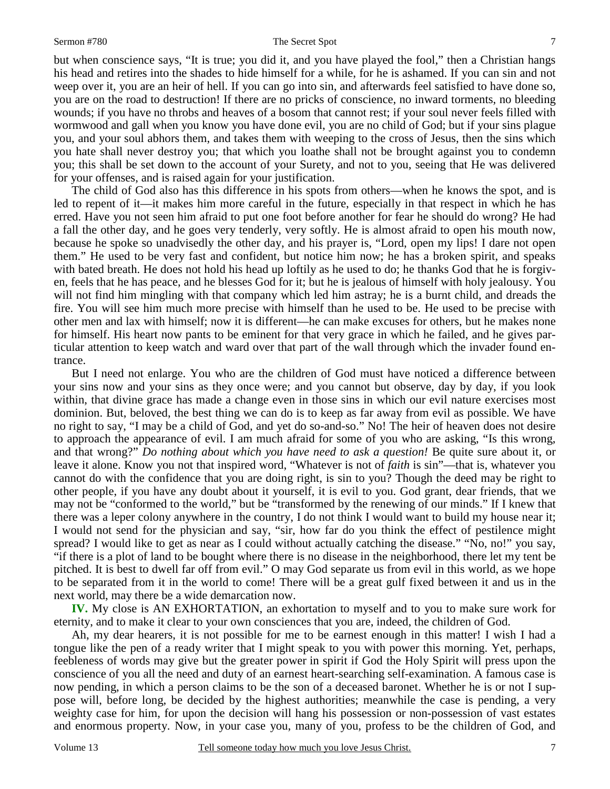#### Sermon #780 The Secret Spot

but when conscience says, "It is true; you did it, and you have played the fool," then a Christian hangs his head and retires into the shades to hide himself for a while, for he is ashamed. If you can sin and not weep over it, you are an heir of hell. If you can go into sin, and afterwards feel satisfied to have done so, you are on the road to destruction! If there are no pricks of conscience, no inward torments, no bleeding wounds; if you have no throbs and heaves of a bosom that cannot rest; if your soul never feels filled with wormwood and gall when you know you have done evil, you are no child of God; but if your sins plague you, and your soul abhors them, and takes them with weeping to the cross of Jesus, then the sins which you hate shall never destroy you; that which you loathe shall not be brought against you to condemn you; this shall be set down to the account of your Surety, and not to you, seeing that He was delivered for your offenses, and is raised again for your justification.

 The child of God also has this difference in his spots from others—when he knows the spot, and is led to repent of it—it makes him more careful in the future, especially in that respect in which he has erred. Have you not seen him afraid to put one foot before another for fear he should do wrong? He had a fall the other day, and he goes very tenderly, very softly. He is almost afraid to open his mouth now, because he spoke so unadvisedly the other day, and his prayer is, "Lord, open my lips! I dare not open them." He used to be very fast and confident, but notice him now; he has a broken spirit, and speaks with bated breath. He does not hold his head up loftily as he used to do; he thanks God that he is forgiven, feels that he has peace, and he blesses God for it; but he is jealous of himself with holy jealousy. You will not find him mingling with that company which led him astray; he is a burnt child, and dreads the fire. You will see him much more precise with himself than he used to be. He used to be precise with other men and lax with himself; now it is different—he can make excuses for others, but he makes none for himself. His heart now pants to be eminent for that very grace in which he failed, and he gives particular attention to keep watch and ward over that part of the wall through which the invader found entrance.

 But I need not enlarge. You who are the children of God must have noticed a difference between your sins now and your sins as they once were; and you cannot but observe, day by day, if you look within, that divine grace has made a change even in those sins in which our evil nature exercises most dominion. But, beloved, the best thing we can do is to keep as far away from evil as possible. We have no right to say, "I may be a child of God, and yet do so-and-so." No! The heir of heaven does not desire to approach the appearance of evil. I am much afraid for some of you who are asking, "Is this wrong, and that wrong?" *Do nothing about which you have need to ask a question!* Be quite sure about it, or leave it alone. Know you not that inspired word, "Whatever is not of *faith* is sin"—that is, whatever you cannot do with the confidence that you are doing right, is sin to you? Though the deed may be right to other people, if you have any doubt about it yourself, it is evil to you. God grant, dear friends, that we may not be "conformed to the world," but be "transformed by the renewing of our minds." If I knew that there was a leper colony anywhere in the country, I do not think I would want to build my house near it; I would not send for the physician and say, "sir, how far do you think the effect of pestilence might spread? I would like to get as near as I could without actually catching the disease." "No, no!" you say, "if there is a plot of land to be bought where there is no disease in the neighborhood, there let my tent be pitched. It is best to dwell far off from evil." O may God separate us from evil in this world, as we hope to be separated from it in the world to come! There will be a great gulf fixed between it and us in the next world, may there be a wide demarcation now.

**IV.** My close is AN EXHORTATION, an exhortation to myself and to you to make sure work for eternity, and to make it clear to your own consciences that you are, indeed, the children of God.

 Ah, my dear hearers, it is not possible for me to be earnest enough in this matter! I wish I had a tongue like the pen of a ready writer that I might speak to you with power this morning. Yet, perhaps, feebleness of words may give but the greater power in spirit if God the Holy Spirit will press upon the conscience of you all the need and duty of an earnest heart-searching self-examination. A famous case is now pending, in which a person claims to be the son of a deceased baronet. Whether he is or not I suppose will, before long, be decided by the highest authorities; meanwhile the case is pending, a very weighty case for him, for upon the decision will hang his possession or non-possession of vast estates and enormous property. Now, in your case you, many of you, profess to be the children of God, and